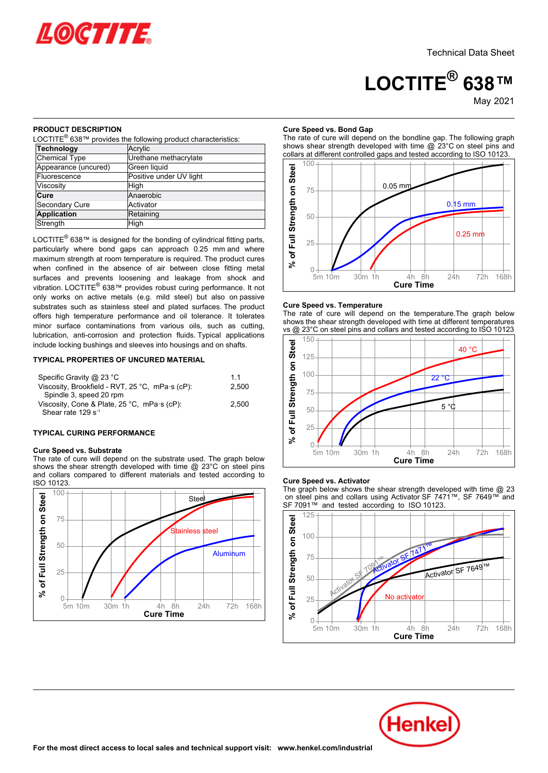

# **LOCTITE® 638™**

May-2021

# **PRODUCT DESCRIPTION**

| LOCTITE <sup>®</sup> 638™ provides the following product characteristics: |                         |  |  |  |
|---------------------------------------------------------------------------|-------------------------|--|--|--|
| Technology                                                                | Acrylic                 |  |  |  |
| <b>Chemical Type</b>                                                      | Urethane methacrylate   |  |  |  |
| Appearance (uncured)                                                      | Green liquid            |  |  |  |
| Fluorescence                                                              | Positive under UV light |  |  |  |
| Viscosity                                                                 | High                    |  |  |  |
| Cure                                                                      | Anaerobic               |  |  |  |
| Secondary Cure                                                            | Activator               |  |  |  |
| <b>Application</b>                                                        | Retaining               |  |  |  |
| Strength                                                                  | High                    |  |  |  |

LOCTITE<sup>®</sup> 638™ is designed for the bonding of cylindrical fitting parts. particularly where bond gaps can approach 0.25 mm and where maximum strength at room temperature is required. The product cures when confined in the absence of air between close fitting metal surfaces and prevents loosening and leakage from shock and vibration. LOCTITE<sup>®</sup> 638™ provides robust curing performance. It not only works on active metals (e.g. mild steel) but also on passive substrates such as stainless steel and plated surfaces. The product offers high temperature performance and oil tolerance. It tolerates minor surface contaminations from various oils, such as cutting, lubrication, anti-corrosion and protection fluids. Typical applications include locking bushings and sleeves into housings and on shafts.

# **TYPICAL PROPERTIES OF UNCURED MATERIAL**

| Specific Gravity @ 23 °C                                     | 11    |
|--------------------------------------------------------------|-------|
| Viscosity, Brookfield - RVT, 25 °C, mPa $\cdot$ s (cP):      | 2.500 |
| Spindle 3, speed 20 rpm                                      |       |
| Viscosity, Cone & Plate, $25^{\circ}$ C, mPa $\cdot$ s (cP): | 2.500 |
| Shear rate 129 $s^{-1}$                                      |       |

## **TYPICAL CURING PERFORMANCE**

# **Cure Speed vs. Substrate**

The rate of cure will depend on the substrate used. The graph below shows the shear strength developed with time @ 23°C on steel pins and collars compared to different materials and tested according to and collars<br>ISO 10123.



# **Cure Speed vs. Bond Gap**

The rate of cure will depend on the bondline gap. The following graph shows shear strength developed with time @ 23°C on steel pins and collars at different controlled gaps and tested according to ISO 10123.



# **Cure Speed vs. Temperature**

The rate of cure will depend on the temperature.The graph below shows the shear strength developed with time at different temperatures vs @ 23°C on steel pins and collars and tested according to ISO 10123



# **Cure Speed vs. Activator**

The graph below shows the shear strength developed with time @ 23 on steel pins and collars using Activator SF 7471™, SF 7649™ and SF 7091™ and tested according to ISO 10123.



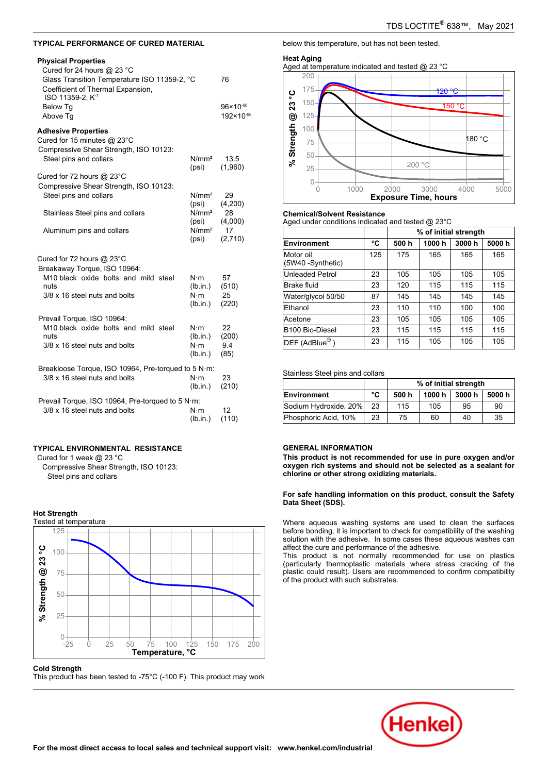# **TYPICAL PERFORMANCE OF CURED MATERIAL**

# **Physical Properties**

| Physical Properties<br>Cured for 24 hours @ 23 $^{\circ}$ C<br>Glass Transition Temperature ISO 11359-2, °C<br>Coefficient of Thermal Expansion,<br>ISO 11359-2, K <sup>-1</sup>                          | 76                                                 |                                   |
|-----------------------------------------------------------------------------------------------------------------------------------------------------------------------------------------------------------|----------------------------------------------------|-----------------------------------|
| Below Tg<br>Above Tq                                                                                                                                                                                      |                                                    | $96 \times 10^{-06}$<br>192×10-06 |
| <b>Adhesive Properties</b><br>Cured for 15 minutes @ 23°C<br>Compressive Shear Strength, ISO 10123:<br>Steel pins and collars<br>Cured for 72 hours $@$ 23 $°C$<br>Compressive Shear Strength, ISO 10123: | N/mm <sup>2</sup><br>(psi)                         | 13.5<br>(1,960)                   |
| Steel pins and collars<br>Stainless Steel pins and collars                                                                                                                                                | N/mm <sup>2</sup><br>(psi)<br>N/mm <sup>2</sup>    | 29<br>(4,200)<br>28               |
| Aluminum pins and collars                                                                                                                                                                                 | (psi)<br>N/mm <sup>2</sup><br>(psi)                | (4,000)<br>17<br>(2,710)          |
| Cured for 72 hours @ 23°C<br>Breakaway Torque, ISO 10964:<br>M10 black oxide bolts and mild steel<br>nuts<br>3/8 x 16 steel nuts and bolts                                                                | $N \cdot m$<br>(lb.in.)<br>$N \cdot m$<br>(lb.in.) | 57<br>(510)<br>25<br>(220)        |
| Prevail Torque, ISO 10964:<br>M10 black oxide bolts and mild steel<br>nuts<br>3/8 x 16 steel nuts and bolts                                                                                               | $N \cdot m$<br>(lb.in.)<br>$N \cdot m$<br>(lb.in.) | 22<br>(200)<br>9.4<br>(85)        |
| Breakloose Torque, ISO 10964, Pre-torqued to 5 N·m:<br>3/8 x 16 steel nuts and bolts                                                                                                                      | $N \cdot m$<br>(lb.in.)                            | 23<br>(210)                       |
| Prevail Torque, ISO 10964, Pre-torqued to 5 N·m:<br>3/8 x 16 steel nuts and bolts                                                                                                                         | $N \cdot m$<br>(lb.in.)                            | 12<br>(110)                       |

## **TYPICAL ENVIRONMENTAL RESISTANCE**

Cured for 1 week @ 23 °C

Compressive Shear Strength, ISO 10123: Steel pins and collars

# **Hot Strength**



**Cold Strength** This product has been tested to -75°C (-100 F). This product may work below this temperature, but has not been tested.

# **Heat Aging**

Aged at temperature indicated and tested @ 23 °C



# **Chemical/Solvent Resistance**

Aged under conditions indicated and tested @ 23°C

| $1900$ and $0000$ and $0000$ and $0000$ and $0000$ and $0000$ and $0000$ |     |                       |       |       |       |
|--------------------------------------------------------------------------|-----|-----------------------|-------|-------|-------|
|                                                                          |     | % of initial strength |       |       |       |
| Environment                                                              | °C  | 500h                  | 1000h | 3000h | 5000h |
| Motor oil<br>(5W40 -Synthetic)                                           | 125 | 175                   | 165   | 165   | 165   |
| Unleaded Petrol                                                          | 23  | 105                   | 105   | 105   | 105   |
| Brake fluid                                                              | 23  | 120                   | 115   | 115   | 115   |
| Water/glycol 50/50                                                       | 87  | 145                   | 145   | 145   | 145   |
| Ethanol                                                                  | 23  | 110                   | 110   | 100   | 100   |
| Acetone                                                                  | 23  | 105                   | 105   | 105   | 105   |
| B100 Bio-Diesel                                                          | 23  | 115                   | 115   | 115   | 115   |
| $\mathsf{DEF}\;(\mathsf{AdBlue}^{\circledR})$                            | 23  | 115                   | 105   | 105   | 105   |

# Stainless Steel pins and collars

|                       |    | % of initial strength |        |        |       |
|-----------------------|----|-----------------------|--------|--------|-------|
| Environment           | °C | 500 h                 | 1000 h | 3000 h | 5000h |
| Sodium Hydroxide, 20% | 23 | 115                   | 105    | 95     | 90    |
| Phosphoric Acid, 10%  | 23 | 75                    | 60     | 40     | 35    |

# **GENERAL INFORMATION**

**This product is not recommended for use in pure oxygen and/or oxygen rich systems and should not be selected as a sealant for chlorine or other strong oxidizing materials.**

**For safe handling information on this product, consult the Safety Data Sheet (SDS).**

Where aqueous washing systems are used to clean the surfaces before bonding, it is important to check for compatibility of the washing solution with the adhesive. In some cases these aqueous washes can affect the cure and performance of the adhesive.

This product is not normally recommended for use on plastics (particularly thermoplastic materials where stress cracking of the plastic could result). Users are recommended to confirm compatibility of the product with such substrates.